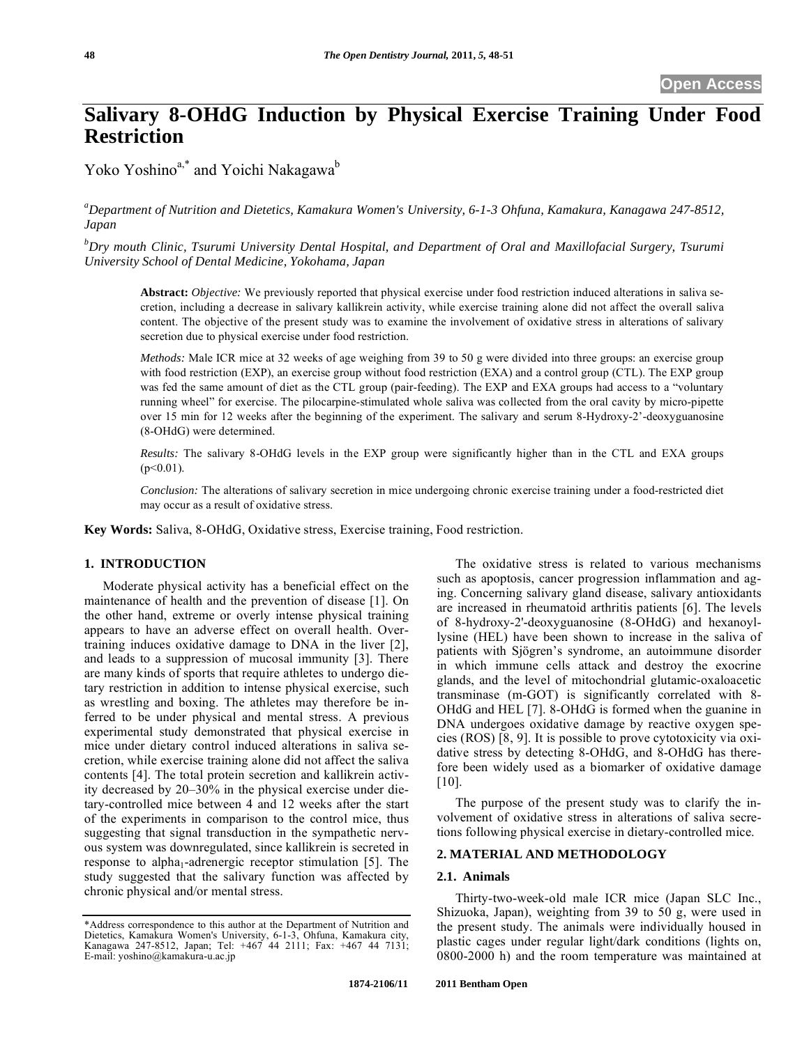# **Salivary 8-OHdG Induction by Physical Exercise Training Under Food Restriction**

Yoko Yoshino<sup>a,\*</sup> and Yoichi Nakagawa<sup>b</sup>

*a Department of Nutrition and Dietetics, Kamakura Women's University, 6-1-3 Ohfuna, Kamakura, Kanagawa 247-8512, Japan* 

*b Dry mouth Clinic, Tsurumi University Dental Hospital, and Department of Oral and Maxillofacial Surgery, Tsurumi University School of Dental Medicine, Yokohama, Japan* 

**Abstract:** *Objective:* We previously reported that physical exercise under food restriction induced alterations in saliva secretion, including a decrease in salivary kallikrein activity, while exercise training alone did not affect the overall saliva content. The objective of the present study was to examine the involvement of oxidative stress in alterations of salivary secretion due to physical exercise under food restriction.

*Methods:* Male ICR mice at 32 weeks of age weighing from 39 to 50 g were divided into three groups: an exercise group with food restriction (EXP), an exercise group without food restriction (EXA) and a control group (CTL). The EXP group was fed the same amount of diet as the CTL group (pair-feeding). The EXP and EXA groups had access to a "voluntary running wheel" for exercise. The pilocarpine-stimulated whole saliva was collected from the oral cavity by micro-pipette over 15 min for 12 weeks after the beginning of the experiment. The salivary and serum 8-Hydroxy-2'-deoxyguanosine (8-OHdG) were determined.

*Results:* The salivary 8-OHdG levels in the EXP group were significantly higher than in the CTL and EXA groups  $(p<0.01)$ .

*Conclusion:* The alterations of salivary secretion in mice undergoing chronic exercise training under a food-restricted diet may occur as a result of oxidative stress.

**Key Words:** Saliva, 8-OHdG, Oxidative stress, Exercise training, Food restriction.

### **1. INTRODUCTION**

Moderate physical activity has a beneficial effect on the maintenance of health and the prevention of disease [1]. On the other hand, extreme or overly intense physical training appears to have an adverse effect on overall health. Overtraining induces oxidative damage to DNA in the liver [2], and leads to a suppression of mucosal immunity [3]. There are many kinds of sports that require athletes to undergo dietary restriction in addition to intense physical exercise, such as wrestling and boxing. The athletes may therefore be inferred to be under physical and mental stress. A previous experimental study demonstrated that physical exercise in mice under dietary control induced alterations in saliva secretion, while exercise training alone did not affect the saliva contents [4]. The total protein secretion and kallikrein activity decreased by 20–30% in the physical exercise under dietary-controlled mice between 4 and 12 weeks after the start of the experiments in comparison to the control mice, thus suggesting that signal transduction in the sympathetic nervous system was downregulated, since kallikrein is secreted in response to alpha<sub>1</sub>-adrenergic receptor stimulation [5]. The study suggested that the salivary function was affected by chronic physical and/or mental stress.

The oxidative stress is related to various mechanisms such as apoptosis, cancer progression inflammation and aging. Concerning salivary gland disease, salivary antioxidants are increased in rheumatoid arthritis patients [6]. The levels of 8-hydroxy-2'-deoxyguanosine (8-OHdG) and hexanoyllysine (HEL) have been shown to increase in the saliva of patients with Sjögren's syndrome, an autoimmune disorder in which immune cells attack and destroy the exocrine glands, and the level of mitochondrial glutamic-oxaloacetic transminase (m-GOT) is significantly correlated with 8- OHdG and HEL [7]. 8-OHdG is formed when the guanine in DNA undergoes oxidative damage by reactive oxygen species (ROS) [8, 9]. It is possible to prove cytotoxicity via oxidative stress by detecting 8-OHdG, and 8-OHdG has therefore been widely used as a biomarker of oxidative damage [10].

The purpose of the present study was to clarify the involvement of oxidative stress in alterations of saliva secretions following physical exercise in dietary-controlled mice.

## **2. MATERIAL AND METHODOLOGY**

### **2.1. Animals**

Thirty-two-week-old male ICR mice (Japan SLC Inc., Shizuoka, Japan), weighting from 39 to 50 g, were used in the present study. The animals were individually housed in plastic cages under regular light/dark conditions (lights on, 0800-2000 h) and the room temperature was maintained at

<sup>\*</sup>Address correspondence to this author at the Department of Nutrition and Dietetics, Kamakura Women's University, 6-1-3, Ohfuna, Kamakura city, Kanagawa 247-8512, Japan; Tel: +467 44 2111; Fax: +467 44 7131; E-mail: yoshino@kamakura-u.ac.jp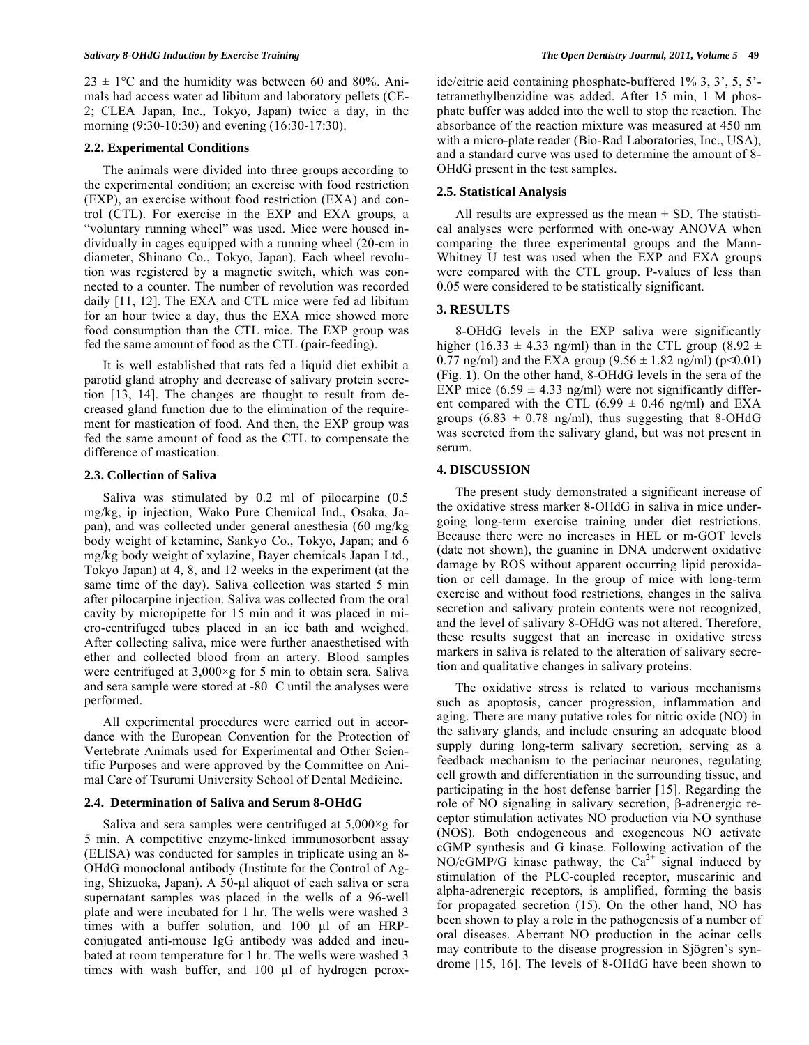$23 \pm 1$ °C and the humidity was between 60 and 80%. Animals had access water ad libitum and laboratory pellets (CE-2; CLEA Japan, Inc., Tokyo, Japan) twice a day, in the morning (9:30-10:30) and evening (16:30-17:30).

#### **2.2. Experimental Conditions**

The animals were divided into three groups according to the experimental condition; an exercise with food restriction (EXP), an exercise without food restriction (EXA) and control (CTL). For exercise in the EXP and EXA groups, a "voluntary running wheel" was used. Mice were housed individually in cages equipped with a running wheel (20-cm in diameter, Shinano Co., Tokyo, Japan). Each wheel revolution was registered by a magnetic switch, which was connected to a counter. The number of revolution was recorded daily [11, 12]. The EXA and CTL mice were fed ad libitum for an hour twice a day, thus the EXA mice showed more food consumption than the CTL mice. The EXP group was fed the same amount of food as the CTL (pair-feeding).

It is well established that rats fed a liquid diet exhibit a parotid gland atrophy and decrease of salivary protein secretion [13, 14]. The changes are thought to result from decreased gland function due to the elimination of the requirement for mastication of food. And then, the EXP group was fed the same amount of food as the CTL to compensate the difference of mastication.

#### **2.3. Collection of Saliva**

Saliva was stimulated by 0.2 ml of pilocarpine  $(0.5)$ mg/kg, ip injection, Wako Pure Chemical Ind., Osaka, Japan), and was collected under general anesthesia (60 mg/kg body weight of ketamine, Sankyo Co., Tokyo, Japan; and 6 mg/kg body weight of xylazine, Bayer chemicals Japan Ltd., Tokyo Japan) at 4, 8, and 12 weeks in the experiment (at the same time of the day). Saliva collection was started 5 min after pilocarpine injection. Saliva was collected from the oral cavity by micropipette for 15 min and it was placed in micro-centrifuged tubes placed in an ice bath and weighed. After collecting saliva, mice were further anaesthetised with ether and collected blood from an artery. Blood samples were centrifuged at  $3,000 \times g$  for 5 min to obtain sera. Saliva and sera sample were stored at -80 C until the analyses were performed.

All experimental procedures were carried out in accordance with the European Convention for the Protection of Vertebrate Animals used for Experimental and Other Scientific Purposes and were approved by the Committee on Animal Care of Tsurumi University School of Dental Medicine.

#### **2.4. Determination of Saliva and Serum 8-OHdG**

Saliva and sera samples were centrifuged at  $5,000 \times g$  for 5 min. A competitive enzyme-linked immunosorbent assay (ELISA) was conducted for samples in triplicate using an 8- OHdG monoclonal antibody (Institute for the Control of Aging, Shizuoka, Japan). A 50-µl aliquot of each saliva or sera supernatant samples was placed in the wells of a 96-well plate and were incubated for 1 hr. The wells were washed 3 times with a buffer solution, and  $100 \mu l$  of an HRPconjugated anti-mouse IgG antibody was added and incubated at room temperature for 1 hr. The wells were washed 3 times with wash buffer, and 100 µl of hydrogen peroxide/citric acid containing phosphate-buffered 1% 3, 3', 5, 5' tetramethylbenzidine was added. After 15 min, 1 M phosphate buffer was added into the well to stop the reaction. The absorbance of the reaction mixture was measured at 450 nm with a micro-plate reader (Bio-Rad Laboratories, Inc., USA), and a standard curve was used to determine the amount of 8- OHdG present in the test samples.

# **2.5. Statistical Analysis**

All results are expressed as the mean  $\pm$  SD. The statistical analyses were performed with one-way ANOVA when comparing the three experimental groups and the Mann-Whitney U test was used when the EXP and EXA groups were compared with the CTL group. P-values of less than 0.05 were considered to be statistically significant.

#### **3. RESULTS**

8-OHdG levels in the EXP saliva were significantly higher (16.33  $\pm$  4.33 ng/ml) than in the CTL group (8.92  $\pm$ 0.77 ng/ml) and the EXA group  $(9.56 \pm 1.82 \text{ ng/ml})$  (p<0.01) (Fig. **1**). On the other hand, 8-OHdG levels in the sera of the EXP mice  $(6.59 \pm 4.33 \text{ ng/ml})$  were not significantly different compared with the CTL (6.99  $\pm$  0.46 ng/ml) and EXA groups  $(6.83 \pm 0.78 \text{ ng/ml})$ , thus suggesting that 8-OHdG was secreted from the salivary gland, but was not present in serum.

#### **4. DISCUSSION**

The present study demonstrated a significant increase of the oxidative stress marker 8-OHdG in saliva in mice undergoing long-term exercise training under diet restrictions. Because there were no increases in HEL or m-GOT levels (date not shown), the guanine in DNA underwent oxidative damage by ROS without apparent occurring lipid peroxidation or cell damage. In the group of mice with long-term exercise and without food restrictions, changes in the saliva secretion and salivary protein contents were not recognized, and the level of salivary 8-OHdG was not altered. Therefore, these results suggest that an increase in oxidative stress markers in saliva is related to the alteration of salivary secretion and qualitative changes in salivary proteins.

The oxidative stress is related to various mechanisms such as apoptosis, cancer progression, inflammation and aging. There are many putative roles for nitric oxide (NO) in the salivary glands, and include ensuring an adequate blood supply during long-term salivary secretion, serving as a feedback mechanism to the periacinar neurones, regulating cell growth and differentiation in the surrounding tissue, and participating in the host defense barrier [15]. Regarding the role of NO signaling in salivary secretion,  $\beta$ -adrenergic receptor stimulation activates NO production via NO synthase (NOS). Both endogeneous and exogeneous NO activate cGMP synthesis and G kinase. Following activation of the  $NO/cGMP/G$  kinase pathway, the Ca<sup>2+</sup> signal induced by stimulation of the PLC-coupled receptor, muscarinic and alpha-adrenergic receptors, is amplified, forming the basis for propagated secretion (15). On the other hand, NO has been shown to play a role in the pathogenesis of a number of oral diseases. Aberrant NO production in the acinar cells may contribute to the disease progression in Sjögren's syndrome [15, 16]. The levels of 8-OHdG have been shown to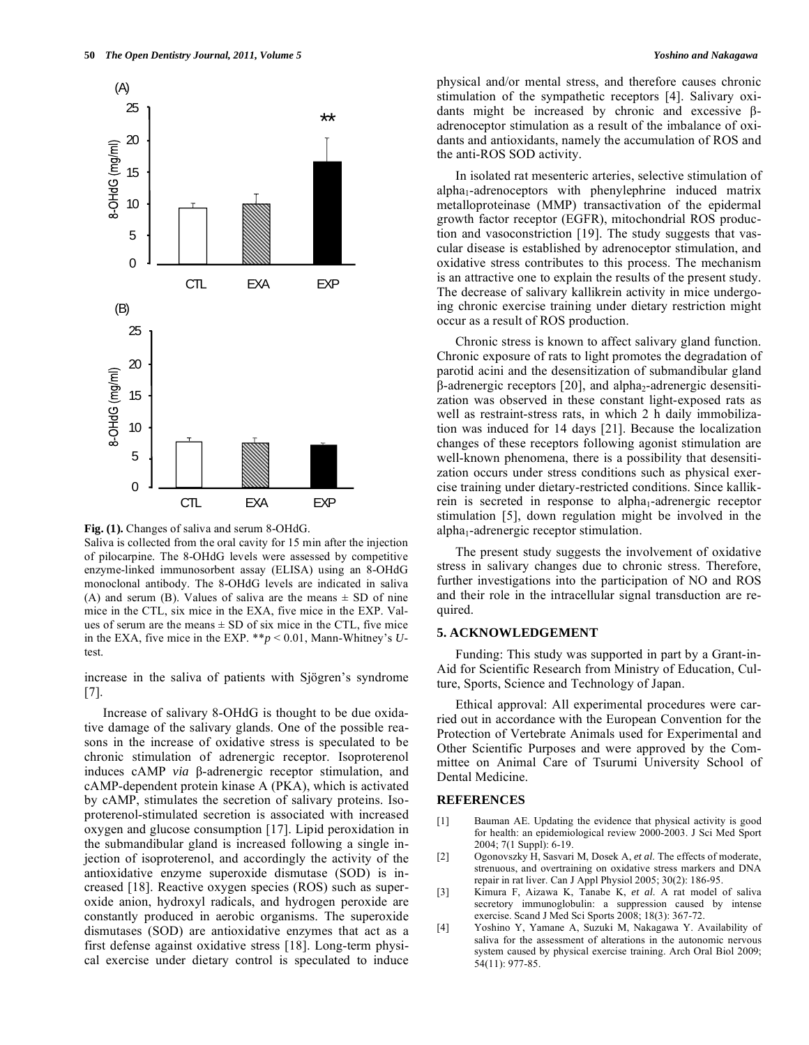

**Fig. (1).** Changes of saliva and serum 8-OHdG.

Saliva is collected from the oral cavity for 15 min after the injection of pilocarpine. The 8-OHdG levels were assessed by competitive enzyme-linked immunosorbent assay (ELISA) using an 8-OHdG monoclonal antibody. The 8-OHdG levels are indicated in saliva (A) and serum (B). Values of saliva are the means  $\pm$  SD of nine mice in the CTL, six mice in the EXA, five mice in the EXP. Values of serum are the means  $\pm$  SD of six mice in the CTL, five mice in the EXA, five mice in the EXP. \*\**p* < 0.01, Mann-Whitney's *U*test.

increase in the saliva of patients with Sjögren's syndrome [7].

Increase of salivary 8-OHdG is thought to be due oxidative damage of the salivary glands. One of the possible reasons in the increase of oxidative stress is speculated to be chronic stimulation of adrenergic receptor. Isoproterenol induces cAMP *via*  $\beta$ -adrenergic receptor stimulation, and cAMP-dependent protein kinase A (PKA), which is activated by cAMP, stimulates the secretion of salivary proteins. Isoproterenol-stimulated secretion is associated with increased oxygen and glucose consumption [17]. Lipid peroxidation in the submandibular gland is increased following a single injection of isoproterenol, and accordingly the activity of the antioxidative enzyme superoxide dismutase (SOD) is increased [18]. Reactive oxygen species (ROS) such as superoxide anion, hydroxyl radicals, and hydrogen peroxide are constantly produced in aerobic organisms. The superoxide dismutases (SOD) are antioxidative enzymes that act as a first defense against oxidative stress [18]. Long-term physical exercise under dietary control is speculated to induce physical and/or mental stress, and therefore causes chronic stimulation of the sympathetic receptors [4]. Salivary oxidants might be increased by chronic and excessive  $\beta$ adrenoceptor stimulation as a result of the imbalance of oxidants and antioxidants, namely the accumulation of ROS and the anti-ROS SOD activity.

In isolated rat mesenteric arteries, selective stimulation of alpha<sub>1</sub>-adrenoceptors with phenylephrine induced matrix metalloproteinase (MMP) transactivation of the epidermal growth factor receptor (EGFR), mitochondrial ROS production and vasoconstriction [19]. The study suggests that vascular disease is established by adrenoceptor stimulation, and oxidative stress contributes to this process. The mechanism is an attractive one to explain the results of the present study. The decrease of salivary kallikrein activity in mice undergoing chronic exercise training under dietary restriction might occur as a result of ROS production.

Chronic stress is known to affect salivary gland function. Chronic exposure of rats to light promotes the degradation of parotid acini and the desensitization of submandibular gland  $\beta$ -adrenergic receptors [20], and alpha<sub>2</sub>-adrenergic desensitization was observed in these constant light-exposed rats as well as restraint-stress rats, in which 2 h daily immobilization was induced for 14 days [21]. Because the localization changes of these receptors following agonist stimulation are well-known phenomena, there is a possibility that desensitization occurs under stress conditions such as physical exercise training under dietary-restricted conditions. Since kallikrein is secreted in response to alpha<sub>1</sub>-adrenergic receptor stimulation [5], down regulation might be involved in the  $alpha<sub>1</sub>$ -adrenergic receptor stimulation.

The present study suggests the involvement of oxidative stress in salivary changes due to chronic stress. Therefore, further investigations into the participation of NO and ROS and their role in the intracellular signal transduction are required.

# **5. ACKNOWLEDGEMENT**

Funding: This study was supported in part by a Grant-in-Aid for Scientific Research from Ministry of Education, Culture, Sports, Science and Technology of Japan.

Ethical approval: All experimental procedures were carried out in accordance with the European Convention for the Protection of Vertebrate Animals used for Experimental and Other Scientific Purposes and were approved by the Committee on Animal Care of Tsurumi University School of Dental Medicine.

#### **REFERENCES**

- [1] Bauman AE. Updating the evidence that physical activity is good for health: an epidemiological review 2000-2003. J Sci Med Sport 2004; 7(1 Suppl): 6-19.
- [2] Ogonovszky H, Sasvari M, Dosek A, *et al*. The effects of moderate, strenuous, and overtraining on oxidative stress markers and DNA repair in rat liver. Can J Appl Physiol 2005; 30(2): 186-95.
- [3] Kimura F, Aizawa K, Tanabe K, *et al*. A rat model of saliva secretory immunoglobulin: a suppression caused by intense exercise. Scand J Med Sci Sports 2008; 18(3): 367-72.
- [4] Yoshino Y, Yamane A, Suzuki M, Nakagawa Y. Availability of saliva for the assessment of alterations in the autonomic nervous system caused by physical exercise training. Arch Oral Biol 2009; 54(11): 977-85.